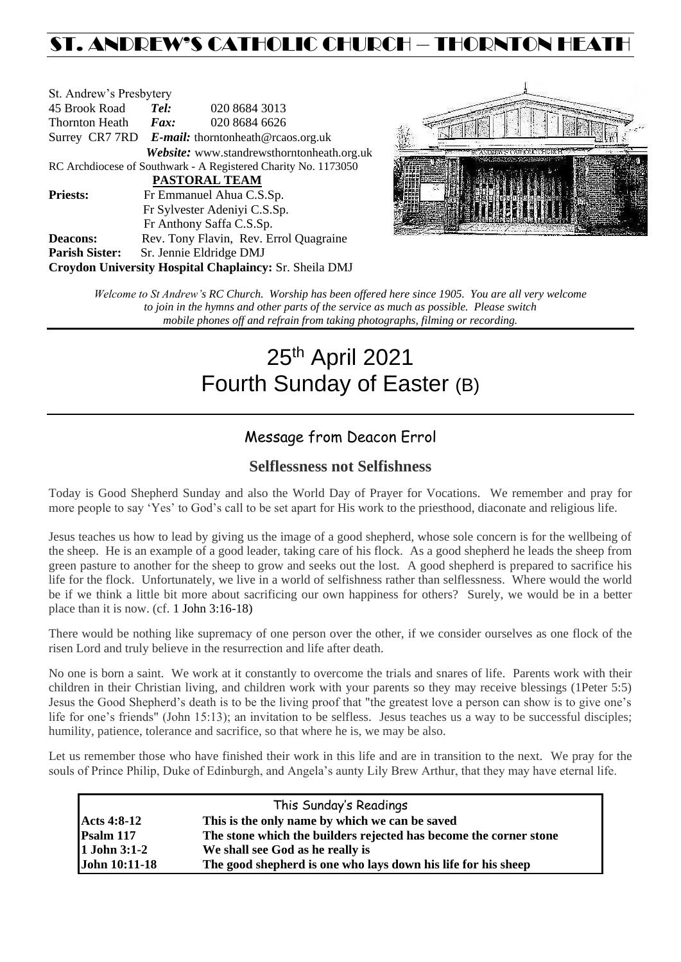# ST. ANDREW'S CATHOLIC CHURCH – THORNTON HEATH

| St. Andrew's Presbytery                                        |                                                      |                                            |  |  |  |
|----------------------------------------------------------------|------------------------------------------------------|--------------------------------------------|--|--|--|
| 45 Brook Road                                                  | Tel:                                                 | 020 8684 3013                              |  |  |  |
| <b>Thornton Heath</b>                                          | Fax:                                                 | 020 8684 6626                              |  |  |  |
|                                                                | Surrey CR7 7RD $E$ -mail: thorntonheath@rcaos.org.uk |                                            |  |  |  |
|                                                                |                                                      | Website: www.standrewsthorntonheath.org.uk |  |  |  |
| RC Archdiocese of Southwark - A Registered Charity No. 1173050 |                                                      |                                            |  |  |  |
| <b>PASTORAL TEAM</b>                                           |                                                      |                                            |  |  |  |
| <b>Priests:</b>                                                |                                                      | Fr Emmanuel Ahua C.S.Sp.                   |  |  |  |
|                                                                | Fr Sylvester Adeniyi C.S.Sp.                         |                                            |  |  |  |
|                                                                |                                                      | Fr Anthony Saffa C.S.Sp.                   |  |  |  |
| <b>Deacons:</b>                                                |                                                      | Rev. Tony Flavin, Rev. Errol Quagraine     |  |  |  |
| <b>Parish Sister:</b>                                          |                                                      | Sr. Jennie Eldridge DMJ                    |  |  |  |
| Croydon University Hospital Chaplaincy: Sr. Sheila DMJ         |                                                      |                                            |  |  |  |



*Welcome to St Andrew's RC Church. Worship has been offered here since 1905. You are all very welcome to join in the hymns and other parts of the service as much as possible. Please switch mobile phones off and refrain from taking photographs, filming or recording.*

# 25<sup>th</sup> April 2021 Fourth Sunday of Easter (B)

# Message from Deacon Errol

# **Selflessness not Selfishness**

Today is Good Shepherd Sunday and also the World Day of Prayer for Vocations. We remember and pray for more people to say 'Yes' to God's call to be set apart for His work to the priesthood, diaconate and religious life.

Jesus teaches us how to lead by giving us the image of a good shepherd, whose sole concern is for the wellbeing of the sheep. He is an example of a good leader, taking care of his flock. As a good shepherd he leads the sheep from green pasture to another for the sheep to grow and seeks out the lost. A good shepherd is prepared to sacrifice his life for the flock. Unfortunately, we live in a world of selfishness rather than selflessness. Where would the world be if we think a little bit more about sacrificing our own happiness for others? Surely, we would be in a better place than it is now. (cf. 1 John 3:16-18)

There would be nothing like supremacy of one person over the other, if we consider ourselves as one flock of the risen Lord and truly believe in the resurrection and life after death.

No one is born a saint. We work at it constantly to overcome the trials and snares of life. Parents work with their children in their Christian living, and children work with your parents so they may receive blessings (1Peter 5:5) Jesus the Good Shepherd's death is to be the living proof that "the greatest love a person can show is to give one's life for one's friends" (John 15:13); an invitation to be selfless. Jesus teaches us a way to be successful disciples; humility, patience, tolerance and sacrifice, so that where he is, we may be also.

Let us remember those who have finished their work in this life and are in transition to the next. We pray for the souls of Prince Philip, Duke of Edinburgh, and Angela's aunty Lily Brew Arthur, that they may have eternal life.

| This Sunday's Readings |                                                                   |  |  |  |
|------------------------|-------------------------------------------------------------------|--|--|--|
| <b>Acts 4:8-12</b>     | This is the only name by which we can be saved                    |  |  |  |
| Psalm 117              | The stone which the builders rejected has become the corner stone |  |  |  |
| 1 John 3:1-2           | We shall see God as he really is                                  |  |  |  |
| <b>John 10:11-18</b>   | The good shepherd is one who lays down his life for his sheep     |  |  |  |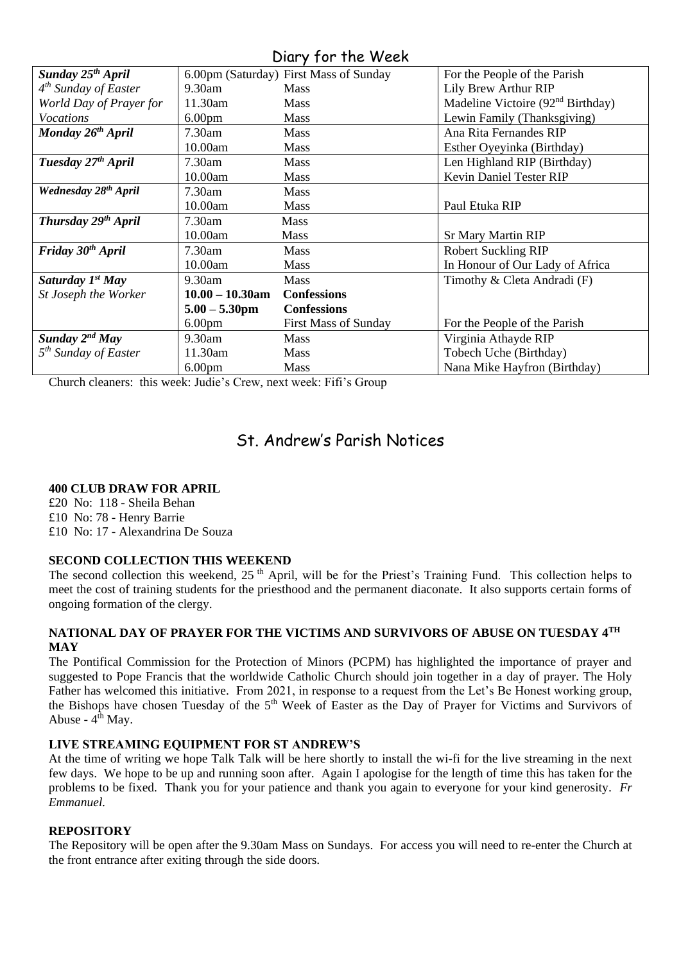Diary for the Week

| Sunday 25 <sup>th</sup> April    |                    | 6.00pm (Saturday) First Mass of Sunday | For the People of the Parish                  |
|----------------------------------|--------------------|----------------------------------------|-----------------------------------------------|
| $4th$ Sunday of Easter           | $9.30$ am          | <b>Mass</b>                            | Lily Brew Arthur RIP                          |
| World Day of Prayer for          | 11.30am            | <b>Mass</b>                            | Madeline Victoire (92 <sup>nd</sup> Birthday) |
| <i>Vocations</i>                 | 6.00 <sub>pm</sub> | Mass                                   | Lewin Family (Thanksgiving)                   |
| Monday 26 <sup>th</sup> April    | $7.30$ am          | Mass                                   | Ana Rita Fernandes RIP                        |
|                                  | 10.00am            | <b>Mass</b>                            | Esther Oyeyinka (Birthday)                    |
| Tuesday 27 <sup>th</sup> April   | 7.30am             | <b>Mass</b>                            | Len Highland RIP (Birthday)                   |
|                                  | 10.00am            | Mass                                   | Kevin Daniel Tester RIP                       |
| Wednesday 28 <sup>th</sup> April | $7.30$ am          | Mass                                   |                                               |
|                                  | 10.00am            | <b>Mass</b>                            | Paul Etuka RIP                                |
| Thursday 29th April              | $7.30$ am          | <b>Mass</b>                            |                                               |
|                                  | 10.00am            | <b>Mass</b>                            | <b>Sr Mary Martin RIP</b>                     |
| Friday 30 <sup>th</sup> April    | $7.30$ am          | <b>Mass</b>                            | <b>Robert Suckling RIP</b>                    |
|                                  | 10.00am            | <b>Mass</b>                            | In Honour of Our Lady of Africa               |
| Saturday $Ist$ May               | $9.30$ am          | <b>Mass</b>                            | Timothy & Cleta Andradi (F)                   |
| St Joseph the Worker             | $10.00 - 10.30$ am | <b>Confessions</b>                     |                                               |
|                                  | $5.00 - 5.30$ pm   | <b>Confessions</b>                     |                                               |
|                                  | 6.00 <sub>pm</sub> | <b>First Mass of Sunday</b>            | For the People of the Parish                  |
| Sunday $2^{nd}$ May              | 9.30am             | <b>Mass</b>                            | Virginia Athayde RIP                          |
| $5th$ Sunday of Easter           | 11.30am            | <b>Mass</b>                            | Tobech Uche (Birthday)                        |
|                                  | 6.00 <sub>pm</sub> | <b>Mass</b>                            | Nana Mike Hayfron (Birthday)                  |

Church cleaners: this week: Judie's Crew, next week: Fifi's Group

# St. Andrew's Parish Notices

## **400 CLUB DRAW FOR APRIL**

£20 No: 118 - Sheila Behan

£10 No: 78 - Henry Barrie

£10 No: 17 - Alexandrina De Souza

# **SECOND COLLECTION THIS WEEKEND**

The second collection this weekend, 25<sup>th</sup> April, will be for the Priest's Training Fund. This collection helps to meet the cost of training students for the priesthood and the permanent diaconate. It also supports certain forms of ongoing formation of the clergy.

## **NATIONAL DAY OF PRAYER FOR THE VICTIMS AND SURVIVORS OF ABUSE ON TUESDAY 4TH MAY**

The Pontifical Commission for the Protection of Minors (PCPM) has highlighted the importance of prayer and suggested to Pope Francis that the worldwide Catholic Church should join together in a day of prayer. The Holy Father has welcomed this initiative. From 2021, in response to a request from the Let's Be Honest working group, the Bishops have chosen Tuesday of the 5<sup>th</sup> Week of Easter as the Day of Prayer for Victims and Survivors of Abuse -  $4^{\overline{th}}$  May.

## **LIVE STREAMING EQUIPMENT FOR ST ANDREW'S**

At the time of writing we hope Talk Talk will be here shortly to install the wi-fi for the live streaming in the next few days. We hope to be up and running soon after. Again I apologise for the length of time this has taken for the problems to be fixed. Thank you for your patience and thank you again to everyone for your kind generosity. *Fr Emmanuel.*

# **REPOSITORY**

The Repository will be open after the 9.30am Mass on Sundays. For access you will need to re-enter the Church at the front entrance after exiting through the side doors.